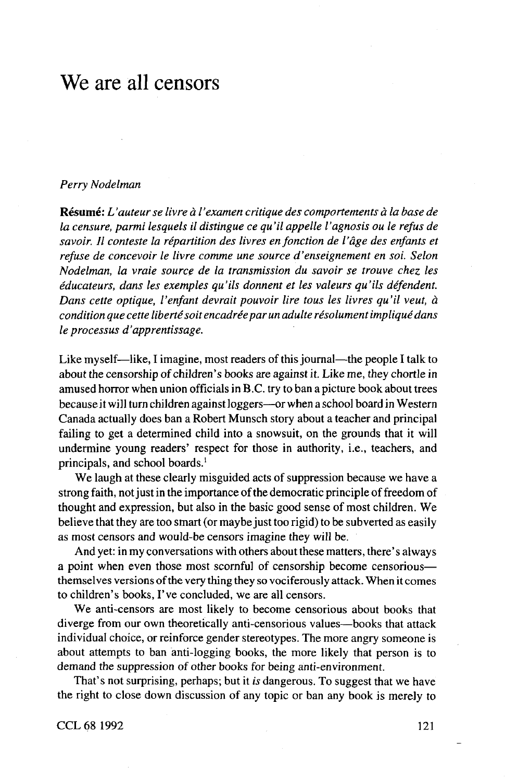# We are all censors

## *Perry Nodelman*

**Resume:** *L'auteurse livre a I'examen critique des comportements a la base de la censure, parmi lesquels il distingue ce qu'il appelle I'agnosis ou Ie refus de* savoir. Il conteste la répartition des livres en fonction de l'âge des enfants et *refuse de concevoir Ie livre comme une source d'enseignement en soi. Selon Nodelman, la vraie source de la transmission du savoir se trouve chez les educateurs, dans les exemples qu'ils donnent et les valeurs qu'ils defendent. Dans cette optique, I'enfant devrait pouvoir lire tous les livres qu'il veut, a condition que cette liberté soit encadrée par un adulte résolument impliqué dans Ie processus d'apprentissage.*

Like myself—like, I imagine, most readers of this journal—the people I talk to about the censorship of children's books are against it. Like me, they chortle in amused horror when union officials in B.C. try to ban a picture book about trees because it will turn children against loggers—or when a school board in Western Canada actually does ban a Robert Munsch story about a teacher and principal failing to get a determined child into a snowsuit, on the grounds that it will undermine young readers' respect for those in authority, i.e., teachers, and principals, and school boards.'

We laugh at these clearly misguided acts of suppression because we have a strong faith, not just in the importance of the democratic principle of freedom of thought and expression, but also in the basic good sense of most children. We believe that they are too smart (or maybe just too rigid) to be subverted as easily as most censors and would-be censors imagine they will be.

And yet: in my conversations with others about these matters, there's always a point when even those most scornful of censorship become censorious themselves versions of the very thing they so vociferously attack. When it comes to children's books, I've concluded, we are all censors.

We anti-censors are most likely to become censorious about books that diverge from our own theoretically anti-censorious values—books that attack individual choice, or reinforce gender stereotypes. The more angry someone is about attempts to ban anti-logging books, the more likely that person is to demand the suppression of other books for being anti-environment.

That's not surprising, perhaps; but it *is* dangerous. To suggest that we have the right to close down discussion of any topic or ban any book is merely to

CCL 68 1992 121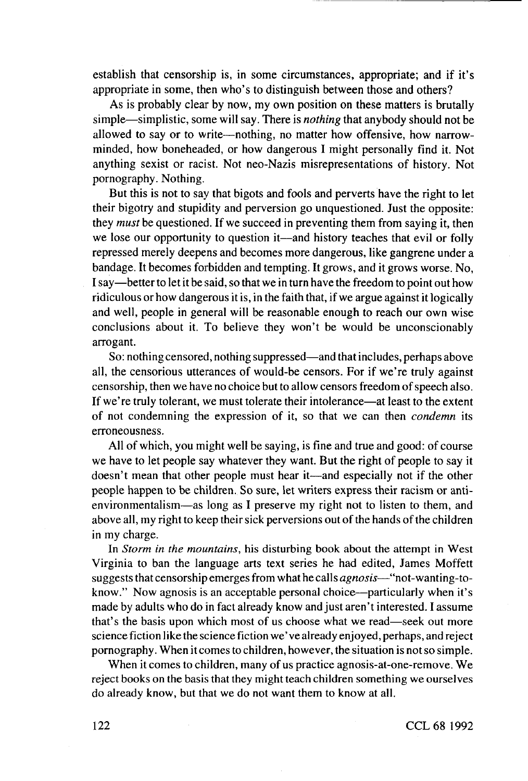establish that censorship is, in some circumstances, appropriate; and if it's appropriate in some, then who's to distinguish between those and others?

As is probably clear by now, my own position on these matters is brutally simple—simplistic, some will say. There is *nothing* that anybody should not be allowed to say or to write—nothing, no matter how offensive, how narrowminded, how boneheaded, or how dangerous I might personally find it. Not anything sexist or racist. Not neo-Nazis misrepresentations of history. Not pornography. Nothing.

But this is not to say that bigots and fools and perverts have the right to let their bigotry and stupidity and perversion go unquestioned. Just the opposite: they *must* be questioned. If we succeed in preventing them from saying it, then we lose our opportunity to question it—and history teaches that evil or folly repressed merely deepens and becomes more dangerous, like gangrene under a bandage. It becomes forbidden and tempting. It grows, and it grows worse. No, I say—better to let it be said, so that we in turn have the freedom to point out how ridiculous or how dangerous it is, in the faith that, if we argue against it logically and well, people in general will be reasonable enough to reach our own wise conclusions about it. To believe they won't be would be unconscionably arrogant.

So: nothing censored, nothing suppressed—and that includes, perhaps above all, the censorious utterances of would-be censors. For if we're truly against censorship, then we have no choice but to allow censors freedom of speech also. If we're truly tolerant, we must tolerate their intolerance—at least to the extent of not condemning the expression of it, so that we can then *condemn* its erroneousness.

All of which, you might well be saying, is fine and true and good: of course we have to let people say whatever they want. But the right of people to say it doesn't mean that other people must hear it—and especially not if the other people happen to be children. So sure, let writers express their racism or antienvironmentalism—as long as I preserve my right not to listen to them, and above all, my right to keep their sick perversions out of the hands of the children in my charge.

In *Storm in the mountains,* his disturbing book about the attempt in West Virginia to ban the language arts text series he had edited, James Moffett suggests that censorship emerges from what he calls *agnosis—*"not-wanting-toknow." Now agnosis is an acceptable personal choice—particularly when it's made by adults who do in fact already know and just aren't interested. I assume that's the basis upon which most of us choose what we read—seek out more science fiction like the science fiction we' ve already enjoyed, perhaps, and reject pornography. When it comes to children, however, the situation is not so simple.

When it comes to children, many of us practice agnosis-at-one-remove. We reject books on the basis that they might teach children something we ourselves do already know, but that we do not want them to know at all.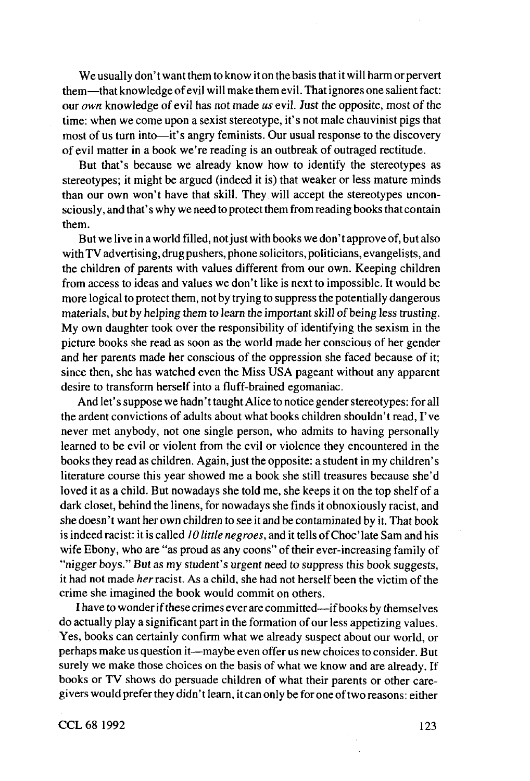We usually don't want them to know it on the basis that it will harm or pervert them—that knowledge of evil will make them evil. That ignores one salient fact: our *own* knowledge of evil has not made *us* evil. Just the opposite, most of the time: when we come upon a sexist stereotype, it's not male chauvinist pigs that most of us turn into—it's angry feminists. Our usual response to the discovery of evil matter in a book we're reading is an outbreak of outraged rectitude.

But that's because we already know how to identify the stereotypes as stereotypes; it might be argued (indeed it is) that weaker or less mature minds than our own won't have that skill. They will accept the stereotypes unconsciously, and that's why we need to protect them from reading books that contain them.

But we live in a world filled, not just with books we don't approve of, but also with TV advertising, drug pushers, phone solicitors, politicians, evangelists, and the children of parents with values different from our own. Keeping children from access to ideas and values we don't like is next to impossible. It would be more logical to protect them, not by trying to suppress the potentially dangerous materials, but by helping them to learn the important skill of being less trusting. My own daughter took over the responsibility of identifying the sexism in the picture books she read as soon as the world made her conscious of her gender and her parents made her conscious of the oppression she faced because of it; since then, she has watched even the Miss USA pageant without any apparent desire to transform herself into a fluff-brained egomaniac.

And let's suppose we hadn't taught Alice to notice gender stereotypes: for all the ardent convictions of adults about what books children shouldn't read, I've never met anybody, not one single person, who admits to having personally learned to be evil or violent from the evil or violence they encountered in the books they read as children. Again, just the opposite: a student in my children's literature course this year showed me a book she still treasures because she'd loved it as a child. But nowadays she told me, she keeps it on the top shelf of a dark closet, behind the linens, for nowadays she finds it obnoxiously racist, and she doesn't want her own children to see it and be contaminated by it. That book is indeed racist: it is called *10 little negroes,* and it tells ofChoc'late Sam and his wife Ebony, who are "as proud as any coons" of their ever-increasing family of "nigger boys." But as my student's urgent need to suppress this book suggests, it had not made *her* racist. As a child, she had not herself been the victim of the crime she imagined the book would commit on others.

I have to wonder if these crimes ever are committed—if books by themselves do actually play a significant part in the formation of our less appetizing values. Yes, books can certainly confirm what we already suspect about our world, or perhaps make us question it—maybe even offer us new choices to consider. But surely we make those choices on the basis of what we know and are already. If books or TV shows do persuade children of what their parents or other caregivers would prefer they didn't learn, it can only be for one of two reasons: either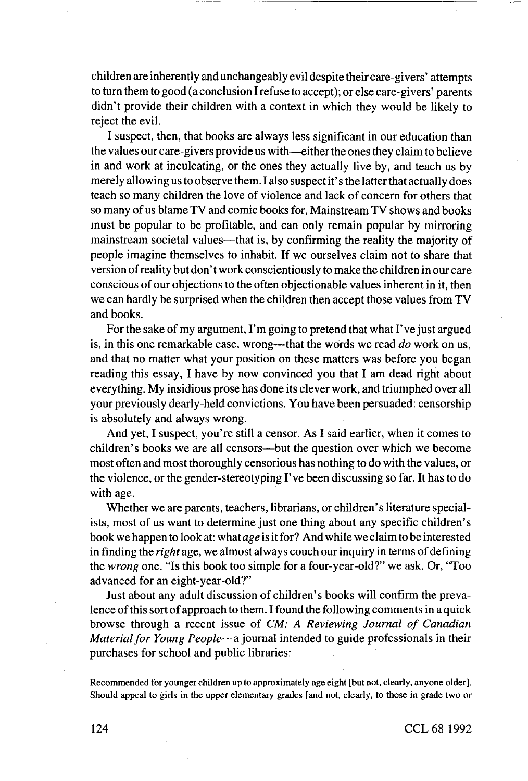children are inherently and unchangeably evil despite their care-givers' attempts to turn them to good (a conclusion I refuse to accept); or else care-givers' parents didn't provide their children with a context in which they would be likely to reject the evil.

I suspect, then, that books are always less significant in our education than the values our care-givers provide us with—either the ones they claim to believe in and work at inculcating, or the ones they actually live by, and teach us by merely allowing us to observe them. I also suspect it's the latter that actually does teach so many children the love of violence and lack of concern for others that so many of us blame TV and comic books for. Mainstream TV shows and books must be popular to be profitable, and can only remain popular by mirroring mainstream societal values—that is, by confirming the reality the majority of people imagine themselves to inhabit. If we ourselves claim not to share that version of reality but don't work conscientiously to make the children in our care conscious of our objections to the often objectionable values inherent in it, then we can hardly be surprised when the children then accept those values from TV and books.

For the sake of my argument, I'm going to pretend that what I've just argued is, in this one remarkable case, wrong—that the words we read *do* work on us, and that no matter what your position on these matters was before you began reading this essay, I have by now convinced you that I am dead right about everything. My insidious prose has done its clever work, and triumphed over all your previously dearly-held convictions. You have been persuaded: censorship is absolutely and always wrong.

And yet, I suspect, you're still a censor. As I said earlier, when it comes to children's books we are all censors—but the question over which we become most often and most thoroughly censorious has nothing to do with the values, or the violence, or the gender-stereotyping I've been discussing so far. It has to do with age.

Whether we are parents, teachers, librarians, or children's literature specialists, most of us want to determine just one thing about any specific children's book we happen to look at: what *age* is it for? And while we claim to be interested in finding the *right age,* we almost always couch our inquiry in terms of defining the *wrong* one. "Is this book too simple for a four-year-old?" we ask. Or, "Too advanced for an eight-year-old?"

Just about any adult discussion of children's books will confirm the prevalence of this sort of approach to them. I found the following comments in a quick browse through a recent issue of *CM: A Reviewing Journal of Canadian Material for Young People—*a journal intended to guide professionals in their purchases for school and public libraries:

Recommended for younger children up to approximately age eight [but not, clearly, anyone older]. Should appeal to girls in the upper elementary grades [and not, clearly, to those in grade two or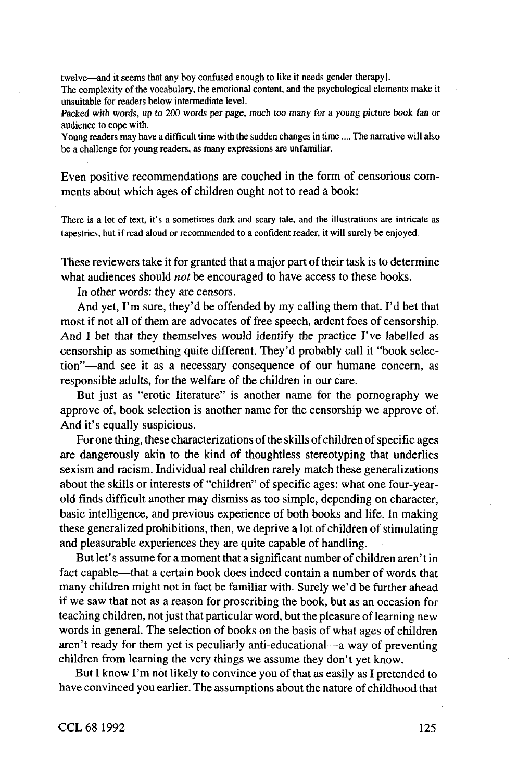twelve—and it seems that any boy confused enough to like it needs gender therapy]

The complexity of the vocabulary, the emotional content, and the psychological elements make it unsuitable for readers below intermediate level.

Packed with words, up to 200 words per page, much too many for a young picture book fan or audience to cope with.

Young readers may have a difficult time with the sudden changes in time .... The narrative will also be a challenge for young readers, as many expressions are unfamiliar

Even positive recommendations are couched in the form of censorious comments about which ages of children ought not to read a book:

There is a lot of text, it's a sometimes dark and scary tale, and the illustrations are intricate as tapestries, but if read aloud or recommended to a confident reader, it will surely be enjoyed.

These reviewers take it for granted that a major part of their task is to determine what audiences should *not* be encouraged to have access to these books.

In other words: they are censors.

And yet, I'm sure, they'd be offended by my calling them that. I'd bet that most if not all of them are advocates of free speech, ardent foes of censorship. And I bet that they themselves would identify the practice I've labelled as censorship as something quite different. They'd probably call it "book selection"—and see it as a necessary consequence of our humane concern, as responsible adults, for the welfare of the children in our care.

But just as "erotic literature" is another name for the pornography we approve of, book selection is another name for the censorship we approve of. And it's equally suspicious.

For one thing, these characterizations of the skills of children of specific ages are dangerously akin to the kind of thoughtless stereotyping that underlies sexism and racism. Individual real children rarely match these generalizations about the skills or interests of "children" of specific ages: what one four-yearold finds difficult another may dismiss as too simple, depending on character, basic intelligence, and previous experience of both books and life. In making these generalized prohibitions, then, we deprive a lot of children of stimulating and pleasurable experiences they are quite capable of handling.

But let's assume for a moment that a significant number of children aren't in fact capable—that a certain book does indeed contain a number of words that many children might not in fact be familiar with. Surely we'd be further ahead if we saw that not as a reason for proscribing the book, but as an occasion for teaching children, not just that particular word, but the pleasure of learning new words in general. The selection of books on the basis of what ages of children aren't ready for them yet is peculiarly anti-educational—a way of preventing children from learning the very things we assume they don't yet know.

But I know I'm not likely to convince you of that as easily as I pretended to have convinced you earlier. The assumptions about the nature of childhood that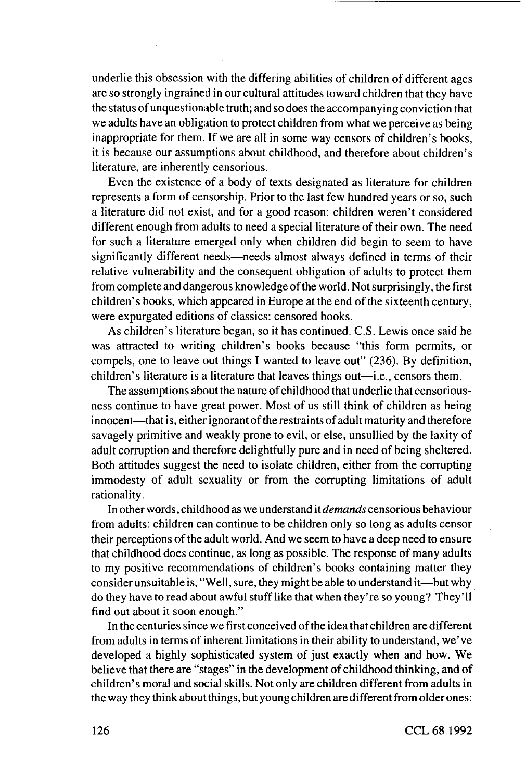underlie this obsession with the differing abilities of children of different ages are so strongly ingrained in our cultural attitudes toward children that they have the status of unquestionable truth; and so does the accompanying conviction that we adults have an obligation to protect children from what we perceive as being inappropriate for them. If we are all in some way censors of children's books, it is because our assumptions about childhood, and therefore about children's literature, are inherently censorious.

Even the existence of a body of texts designated as literature for children represents a form of censorship. Prior to the last few hundred years or so, such a literature did not exist, and for a good reason: children weren't considered different enough from adults to need a special literature of their own. The need for such a literature emerged only when children did begin to seem to have significantly different needs—needs almost always defined in terms of their relative vulnerability and the consequent obligation of adults to protect them from complete and dangerous knowledge of the world. Not surprisingly, the first children's books, which appeared in Europe at the end of the sixteenth century, were expurgated editions of classics: censored books.

As children's literature began, so it has continued. C.S. Lewis once said he was attracted to writing children's books because "this form permits, or compels, one to leave out things I wanted to leave out" (236). By definition, children's literature is a literature that leaves things out—i.e., censors them.

The assumptions about the nature of childhood that underlie that censoriousness continue to have great power. Most of us still think of children as being innocent—that is, either ignorant of the restraints of adult maturity and therefore savagely primitive and weakly prone to evil, or else, unsullied by the laxity of adult corruption and therefore delightfully pure and in need of being sheltered. Both attitudes suggest the need to isolate children, either from the corrupting immodesty of adult sexuality or from the corrupting limitations of adult rationality.

In other words, childhood as we understand it *demands* censorious behaviour from adults: children can continue to be children only so long as adults censor their perceptions of the adult world. And we seem to have a deep need to ensure that childhood does continue, as long as possible. The response of many adults to my positive recommendations of children's books containing matter they consider unsuitable is, "Well, sure, they might be able to understand it—but why do they have to read about awful stuff like that when they're so young? They'll find out about it soon enough."

In the centuries since we first conceived of the idea that children are different from adults in terms of inherent limitations in their ability to understand, we' ve developed a highly sophisticated system of just exactly when and how. We believe that there are "stages" in the development of childhood thinking, and of children's moral and social skills. Not only are children different from adults in the way they think about things, but young children are different from older ones: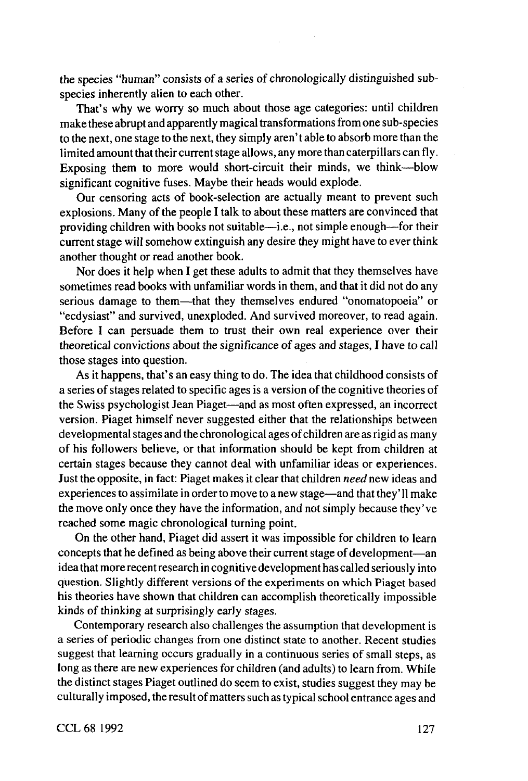the species "human" consists of a series of chronologically distinguished subspecies inherently alien to each other.

That's why we worry so much about those age categories: until children make these abrupt and apparently magical transformations from one sub-species to the next, one stage to the next, they simply aren' t able to absorb more than the limited amount that their current stage allows, any more than caterpillars can fly. Exposing them to more would short-circuit their minds, we think—blow significant cognitive fuses. Maybe their heads would explode.

Our censoring acts of book-selection are actually meant to prevent such explosions. Many of the people I talk to about these matters are convinced that providing children with books not suitable—i.e., not simple enough—for their current stage will somehow extinguish any desire they might have to ever think another thought or read another book.

Nor does it help when I get these adults to admit that they themselves have sometimes read books with unfamiliar words in them, and that it did not do any serious damage to them—that they themselves endured "onomatopoeia" or "ecdysiast" and survived, unexploded. And survived moreover, to read again. Before I can persuade them to trust their own real experience over their theoretical convictions about the significance of ages and stages, I have to call those stages into question.

As it happens, that's an easy thing to do. The idea that childhood consists of a series of stages related to specific ages is a version of the cognitive theories of the Swiss psychologist Jean Piaget—and as most often expressed, an incorrect version. Piaget himself never suggested either that the relationships between developmental stages and the chronological ages of children are as rigid as many of his followers believe, or that information should be kept from children at certain stages because they cannot deal with unfamiliar ideas or experiences. Just the opposite, in fact: Piaget makes it clear that children *need* new ideas and experiences to assimilate in order to move to a new stage—and that they' 11 make the move only once they have the information, and not simply because they've reached some magic chronological turning point.

On the other hand, Piaget did assert it was impossible for children to learn concepts that he defined as being above their current stage of development—an idea that more recent research in cognitive development has called seriously into question. Slightly different versions of the experiments on which Piaget based his theories have shown that children can accomplish theoretically impossible kinds of thinking at surprisingly early stages.

Contemporary research also challenges the assumption that development is a series of periodic changes from one distinct state to another. Recent studies suggest that learning occurs gradually in a continuous series of small steps, as long as there are new experiences for children (and adults) to learn from. While the distinct stages Piaget outlined do seem to exist, studies suggest they may be culturally imposed, the result of matters such as typical school entrance ages and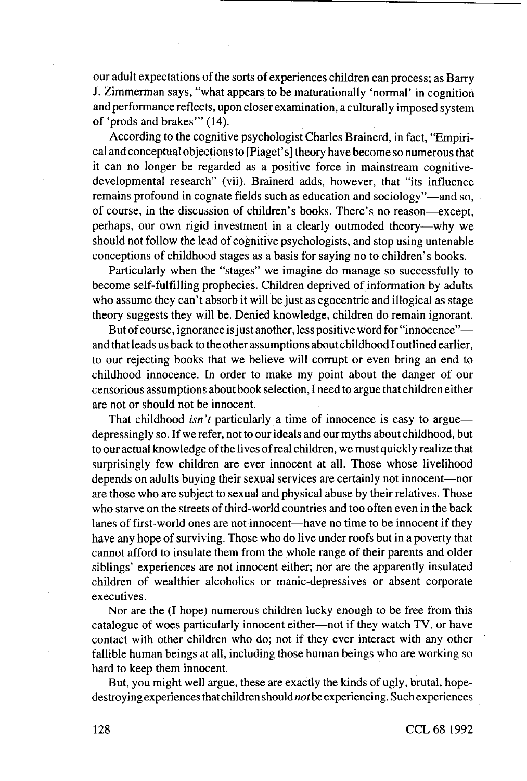our adult expectations of the sorts of experiences children can process; as Barry J. Zimmerman says, "what appears to be maturationally 'normal' in cognition and performance reflects, upon closer examination, a culturally imposed system of 'prods and brakes'" (14).

According to the cognitive psychologist Charles Brainerd, in fact, "Empirical and conceptual objections to [Piaget' s] theory have become so numerous that it can no longer be regarded as a positive force in mainstream cognitivedevelopmental research" (vii). Brainerd adds, however, that "its influence remains profound in cognate fields such as education and sociology"—and so, of course, in the discussion of children's books. There's no reason—except, perhaps, our own rigid investment in a clearly outmoded theory—why we should not follow the lead of cognitive psychologists, and stop using untenable conceptions of childhood stages as a basis for saying no to children's books.

Particularly when the "stages" we imagine do manage so successfully to become self-fulfilling prophecies. Children deprived of information by adults who assume they can't absorb it will be just as egocentric and illogical as stage theory suggests they will be. Denied knowledge, children do remain ignorant.

But of course, ignorance is just another, less positive word for "innocence" and that leads us back to the other assumptions about childhood I outlined earlier, to our rejecting books that we believe will corrupt or even bring an end to childhood innocence, tn order to make my point about the danger of our censorious assumptions about book selection, I need to argue that children either are not or should not be innocent.

That childhood *isn 't* particularly a time of innocence is easy to argue depressingly so. If we refer, not to our ideals and our myths about childhood, but to our actual knowledge of the lives of real children, we must quickly realize that surprisingly few children are ever innocent at all. Those whose livelihood depends on adults buying their sexual services are certainly not innocent—nor are those who are subject to sexual and physical abuse by their relatives. Those who starve on the streets of third-world countries and too often even in the back lanes of first-world ones are not innocent—have no time to be innocent if they have any hope of surviving. Those who do live under roofs but in a poverty that cannot afford to insulate them from the whole range of their parents and older siblings' experiences are not innocent either; nor are the apparently insulated children of wealthier alcoholics or manic-depressives or absent corporate executives.

Nor are the (I hope) numerous children lucky enough to be free from this catalogue of woes particularly innocent either—not if they watch TV, or have contact with other children who do; not if they ever interact with any other fallible human beings at all, including those human beings who are working so hard to keep them innocent.

But, you might well argue, these are exactly the kinds of ugly, brutal, hopedestroying experiences that children should *not* be experiencing. Such experiences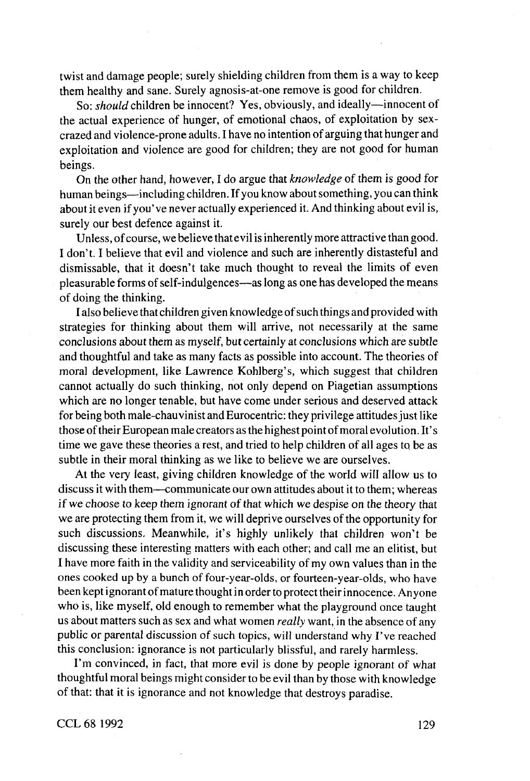twist and damage people; surely shielding children from them is a way to keep them healthy and sane. Surely agnosis-at-one remove is good for children.

So: *should* children be innocent? Yes, obviously, and ideally—innocent of the actual experience of hunger, of emotional chaos, of exploitation by sexcrazed and violence-prone adults. I have no intention of arguing that hunger and exploitation and violence are good for children; they are not good for human beings.

On the other hand, however, I do argue that *knowledge* of them is good for human beings—including children. If you know about something, you can think about it even if you've never actually experienced it. And thinking about evil is, surely our best defence against it.

Unless, of course, we believe that evil is inherently more attractive than good. I don't. I believe that evil and violence and such are inherently distasteful and dismissable, that it doesn't take much thought to reveal the limits of even pleasurable forms of self-indulgences—as long as one has developed the means of doing the thinking.

I also believe that children given knowledge of such things and provided with strategies for thinking about them will arrive, not necessarily at the same conclusions about them as myself, but certainly at conclusions which are subtle and thoughtful and take as many facts as possible into account. The theories of moral development, like Lawrence Kohlberg's, which suggest that children cannot actually do such thinking, not only depend on Piagetian assumptions which are no longer tenable, but have come under serious and deserved attack for being both male-chauvinist and Eurocentric: they privilege attitudes just like those of their European malecreators as the highest point of moral evolution. It's time we gave these theories a rest, and tried to help children of all ages to be as subtle in their moral thinking as we like to believe we are ourselves.

At the very least, giving children knowledge of the world will allow us to discuss it with them—communicate our own attitudes about it to them; whereas if we choose to keep them ignorant of that which we despise on the theory that we are protecting them from it, we will deprive ourselves of the opportunity for such discussions. Meanwhile, it's highly unlikely that children won't be discussing these interesting matters with each other; and call me an elitist, but I have more faith in the validity and serviceability of my own values than in the ones cooked up by a bunch of four-year-olds, or fourteen-year-olds, who have been kept ignorant of mature thought in order to protect their innocence. Anyone who is, like myself, old enough to remember what the playground once taught us about matters such as sex and what women *really* want, in the absence of any public or parental discussion of such topics, will understand why I've reached this conclusion: ignorance is not particularly blissful, and rarely harmless.

I'm convinced, in fact, that more evil is done by people ignorant of what thoughtful moral beings might consider to be evil than by those with knowledge of that: that it is ignorance and not knowledge that destroys paradise.

CCL 68 1992 129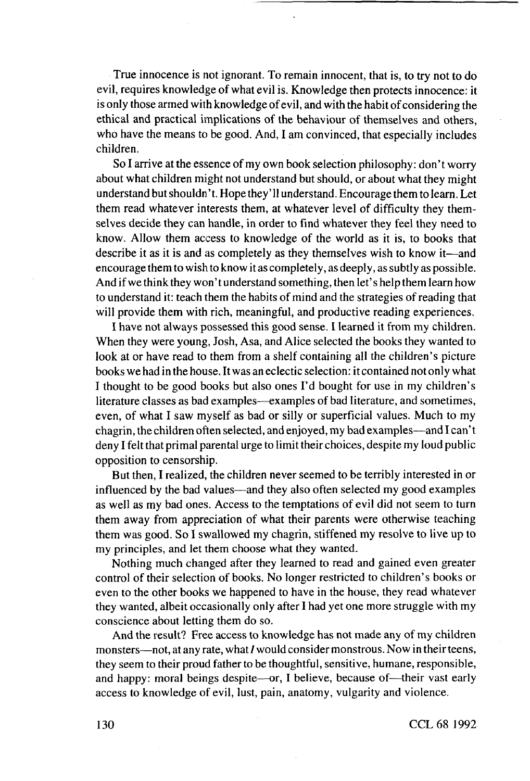True innocence is not ignorant. To remain innocent, that is, to try not to do evil, requires knowledge of what evil is. Knowledge then protects innocence: it is only those armed with knowledge of evil, and with the habit of considering the ethical and practical implications of the behaviour of themselves and others, who have the means to be good. And, I am convinced, that especially includes children.

So I arrive at the essence of my own book selection philosophy: don't worry about what children might not understand but should, or about what they might understand but shouldn't. Hope they'll understand. Encourage them to learn. Let them read whatever interests them, at whatever level of difficulty they themselves decide they can handle, in order to find whatever they feel they need to know. Allow them access to knowledge of the world as it is, to books that describe it as it is and as completely as they themselves wish to know it—and encourage them to wish to know it as completely, as deeply, as subtly as possible. And if we think they won't understand something, then let's help them learn how to understand it: teach them the habits of mind and the strategies of reading that will provide them with rich, meaningful, and productive reading experiences.

I have not always possessed this good sense. I learned it from my children. When they were young. Josh, Asa, and Alice selected the books they wanted to look at or have read to them from a shelf containing all the children's picture books we had in the house. It was an eclectic selection: it contained not only what I thought to be good books but also ones I'd bought for use in my children's literature classes as bad examples—examples of bad literature, and sometimes, even, of what I saw myself as bad or silly or superficial values. Much to my chagrin, the children often selected, and enjoyed, my bad examples—and I can't deny I felt that primal parental urge to limit their choices, despite my loud public opposition to censorship.

But then, I realized, the children never seemed to be terribly interested in or influenced by the bad values—and they also often selected my good examples as well as my bad ones. Access to the temptations of evil did not seem to turn them away from appreciation of what their parents were otherwise teaching them was good. So I swallowed my chagrin, stiffened my resolve to live up to my principles, and let them choose what they wanted.

Nothing much changed after they learned to read and gained even greater control of their selection of books. No longer restricted to children's books or even to the other books we happened to have in the house, they read whatever they wanted, albeit occasionally only after I had yet one more struggle with my conscience about letting them do so.

And the result? Free access to knowledge has not made any of my children monsters—not, at any rate, what / would consider monstrous. Now in their teens, they seem to their proud father to be thoughtful, sensitive, humane, responsible, and happy: moral beings despite—or, I believe, because of—their vast early access to knowledge of evil, lust, pain, anatomy, vulgarity and violence.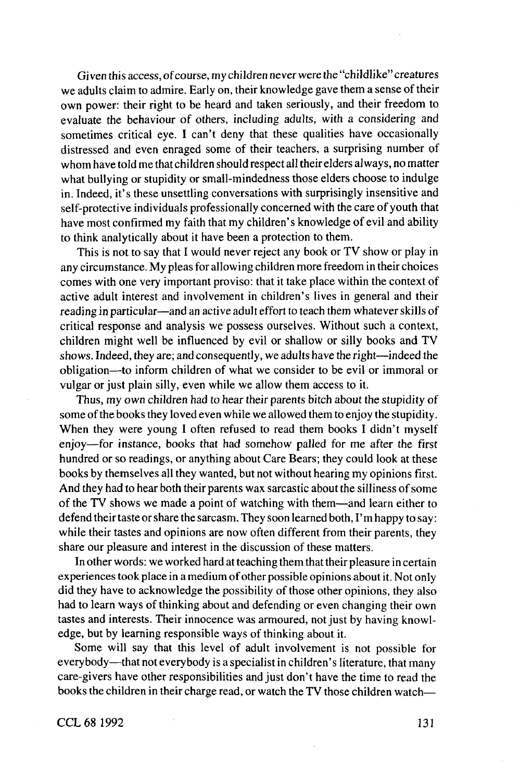Given this access, of course, my children never were the "childlike" creatures we adults claim to admire. Early on, their knowledge gave them a sense of their own power: their right to be heard and taken seriously, and their freedom to evaluate the behaviour of others, including adults, with a considering and sometimes critical eye. I can't deny that these qualities have occasionally distressed and even enraged some of their teachers, a surprising number of whom have told me that children should respect all their elders always, no matter what bullying or stupidity or small-mindedness those elders choose to indulge in. Indeed, it's these unsettling conversations with surprisingly insensitive and self-protective individuals professionally concerned with the care of youth that have most confirmed my faith that my children's knowledge of evil and ability to think analytically about it have been a protection to them.

This is not to say that I would never reject any book or TV show or play in any circumstance. My pleas for allowing children more freedom in their choices comes with one very important proviso: that it take place within the context of active adult interest and involvement in children's lives in general and their reading in particular—and an active adult effort to teach them whatever skills of critical response and analysis we possess ourselves. Without such a context, children might well be influenced by evil or shallow or silly books and TV shows. Indeed, they are; and consequently, we adults have the right—indeed the obligation—to inform children of what we consider to be evil or immoral or vulgar or just plain silly, even while we allow them access to it.

Thus, my own children had to hear their parents bitch about the stupidity of some of the books they loved even while we allowed them to enjoy the stupidity. When they were young I often refused to read them books I didn't myself enjoy—for instance, books that had somehow palled for me after the first hundred or so readings, or anything about Care Bears; they could look at these books by themselves all they wanted, but not without hearing my opinions first. And they had to hear both their parents wax sarcastic about the silliness of some of the TV shows we made a point of watching with them—and learn either to defend their taste or share the sarcasm. They soon learned both, I'm happy to say: while their tastes and opinions are now often different from their parents, they share our pleasure and interest in the discussion of these matters.

In other words: we worked hard at teaching them that their pleasure in certain experiences took place in a medium of other possible opinions about it. Not only did they have to acknowledge the possibility of those other opinions, they also had to learn ways of thinking about and defending or even changing their own tastes and interests. Their innocence was armoured, not just by having knowledge, but by learning responsible ways of thinking about it.

Some will say that this level of adult involvement is not possible for everybody—that not everybody is a specialist in children's literature, that many care-givers have other responsibilities and just don't have the time to read the books the children in their charge read, or watch the TV those children watch—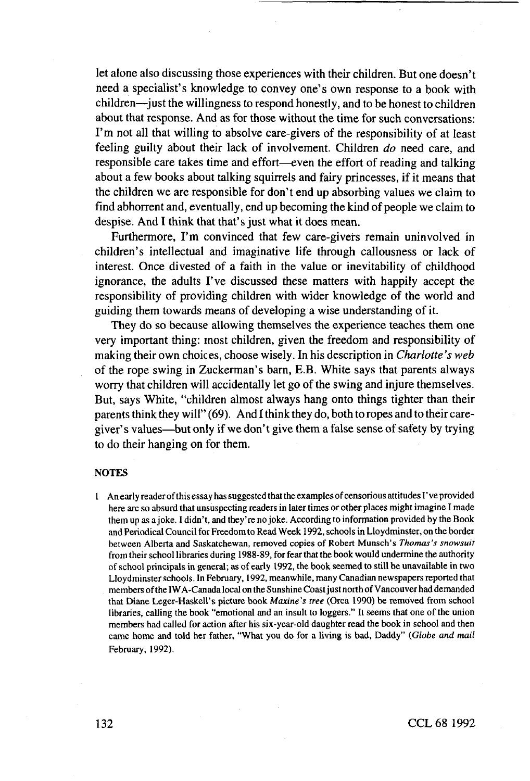let alone also discussing those experiences with their children. But one doesn't need a specialist's knowledge to convey one's own response to a book with  $children$ —just the willingness to respond honestly, and to be honest to children about that response. And as for those without the time for such conversations: I'm not all that willing to absolve care-givers of the responsibility of at least feeling guilty about their lack of involvement. Children *do* need care, and responsible care takes time and effort—even the effort of reading and talking about a few books about talking squirrels and fairy princesses, if it means that the children we are responsible for don't end up absorbing values we claim to find abhorrent and, eventually, end up becoming the kind of people we claim to despise. And I think that that's just what it does mean.

Furthermore, I'm convinced that few care-givers remain uninvolved in children's intellectual and imaginative life through callousness or lack of interest. Once divested of a faith in the value or inevitability of childhood ignorance, the adults I've discussed these matters with happily accept the responsibility of providing children with wider knowledge of the world and guiding them towards means of developing a wise understanding of it.

They do so because allowing themselves the experience teaches them one very important thing: most children, given the freedom and responsibility of making their own choices, choose wisely. In his description in *Charlotte's web* of the rope swing in Zuckerman's barn, E.B. White says that parents always worry that children will accidentally let go of the swing and injure themselves. But, says White, "children almost always hang onto things tighter than their parents think they will" (69). And I think they do, both to ropes and to their caregiver's values—but only if we don't give them a false sense of safety by trying to do their hanging on for them.

### **NOTES**

1 An early reader of this essay has suggested that the examples of censorious attitudes I' ve provided here are so absurd that unsuspecting readers in later times or other places might imagine I made them up as a joke. I didn't, and they're no joke. According to information provided by the Book and Periodical Council foi Freedom to Read Week 1992, schools in Lloydminster, on the border between Alberta and Saskatchewan, removed copies of Robert Munsch's *Thomas's snowsuit* from their school libraries during 1988-89, for fear that the book would undermine the authority of school principals in general; as of early 1992, the book seemed to still be unavailable in two Lloydminster schools. In February, 1992, meanwhile, many Canadian newspapers reported that members of the IWA-Canada local on the Sunshine Coast just north of Vancouver had demanded that Diane Leger-Haskell's picture book *Maxine's tree* (Orca 1990) be removed from school libraries, calling the book "emotional and an insult to loggers." It seems that one of the union members had called for action after his six-year-old daughter read the book in school and then came home and told her father, "What you do for a living is bad. Daddy" *(Globe and mail* February, 1992).